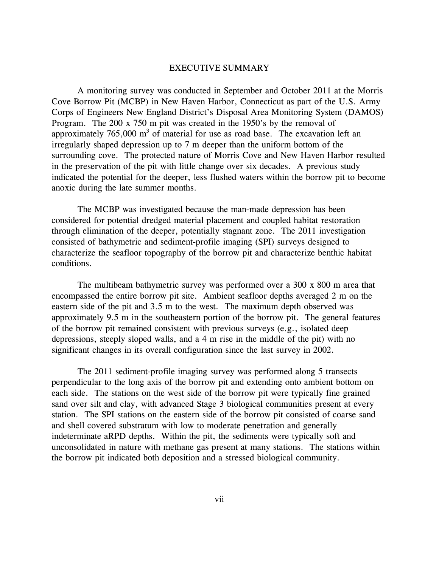A monitoring survey was conducted in September and October 2011 at the Morris Cove Borrow Pit (MCBP) in New Haven Harbor, Connecticut as part of the U.S. Army Corps of Engineers New England District's Disposal Area Monitoring System (DAMOS) Program. The 200 x 750 m pit was created in the 1950's by the removal of approximately  $765,000 \text{ m}^3$  of material for use as road base. The excavation left an irregularly shaped depression up to 7 m deeper than the uniform bottom of the surrounding cove. The protected nature of Morris Cove and New Haven Harbor resulted in the preservation of the pit with little change over six decades. A previous study indicated the potential for the deeper, less flushed waters within the borrow pit to become anoxic during the late summer months.

The MCBP was investigated because the man-made depression has been considered for potential dredged material placement and coupled habitat restoration through elimination of the deeper, potentially stagnant zone. The 2011 investigation consisted of bathymetric and sediment-profile imaging (SPI) surveys designed to characterize the seafloor topography of the borrow pit and characterize benthic habitat conditions.

The multibeam bathymetric survey was performed over a 300 x 800 m area that encompassed the entire borrow pit site. Ambient seafloor depths averaged 2 m on the eastern side of the pit and 3.5 m to the west. The maximum depth observed was approximately 9.5 m in the southeastern portion of the borrow pit. The general features of the borrow pit remained consistent with previous surveys (e.g., isolated deep depressions, steeply sloped walls, and a 4 m rise in the middle of the pit) with no significant changes in its overall configuration since the last survey in 2002.

The 2011 sediment-profile imaging survey was performed along 5 transects perpendicular to the long axis of the borrow pit and extending onto ambient bottom on each side. The stations on the west side of the borrow pit were typically fine grained sand over silt and clay, with advanced Stage 3 biological communities present at every station. The SPI stations on the eastern side of the borrow pit consisted of coarse sand and shell covered substratum with low to moderate penetration and generally indeterminate aRPD depths. Within the pit, the sediments were typically soft and unconsolidated in nature with methane gas present at many stations. The stations within the borrow pit indicated both deposition and a stressed biological community.